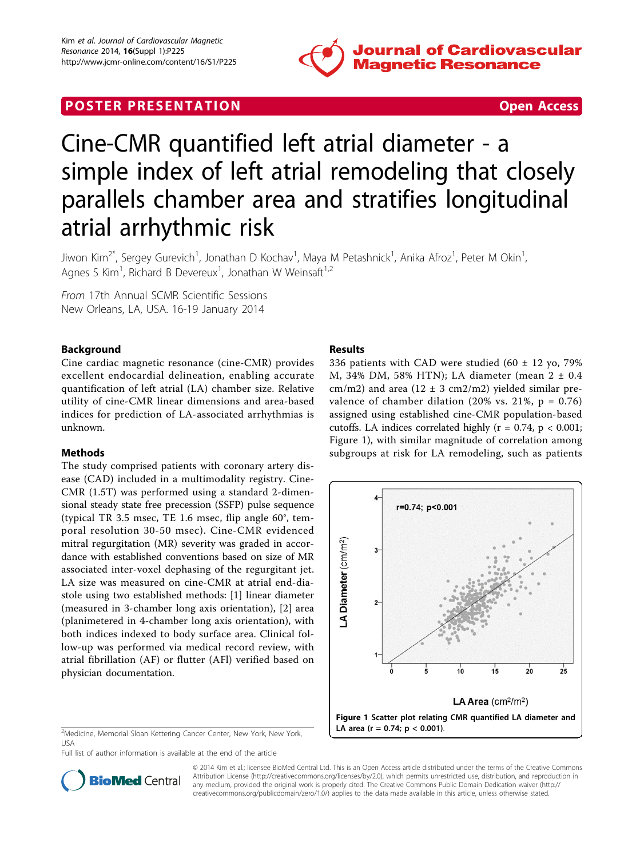

## **POSTER PRESENTATION CONSUMING THE SECOND CONSUMING THE SECOND CONSUMING THE SECOND CONSUMING THE SECOND CONSUMING THE SECOND CONSUMING THE SECOND CONSUMING THE SECOND CONSUMING THE SECOND CONSUMING THE SECOND CONSUMING**



# Cine-CMR quantified left atrial diameter - a simple index of left atrial remodeling that closely parallels chamber area and stratifies longitudinal atrial arrhythmic risk

Jiwon Kim<sup>2\*</sup>, Sergey Gurevich<sup>1</sup>, Jonathan D Kochav<sup>1</sup>, Maya M Petashnick<sup>1</sup>, Anika Afroz<sup>1</sup>, Peter M Okin<sup>1</sup> , Agnes S Kim<sup>1</sup>, Richard B Devereux<sup>1</sup>, Jonathan W Weinsaft<sup>1,2</sup>

From 17th Annual SCMR Scientific Sessions New Orleans, LA, USA. 16-19 January 2014

## Background

Cine cardiac magnetic resonance (cine-CMR) provides excellent endocardial delineation, enabling accurate quantification of left atrial (LA) chamber size. Relative utility of cine-CMR linear dimensions and area-based indices for prediction of LA-associated arrhythmias is unknown.

### Methods

The study comprised patients with coronary artery disease (CAD) included in a multimodality registry. Cine-CMR (1.5T) was performed using a standard 2-dimensional steady state free precession (SSFP) pulse sequence (typical TR 3.5 msec, TE 1.6 msec, flip angle 60°, temporal resolution 30-50 msec). Cine-CMR evidenced mitral regurgitation (MR) severity was graded in accordance with established conventions based on size of MR associated inter-voxel dephasing of the regurgitant jet. LA size was measured on cine-CMR at atrial end-diastole using two established methods: [1] linear diameter (measured in 3-chamber long axis orientation), [2] area (planimetered in 4-chamber long axis orientation), with both indices indexed to body surface area. Clinical follow-up was performed via medical record review, with atrial fibrillation (AF) or flutter (AFl) verified based on physician documentation.

<sup>2</sup>Medicine, Memorial Sloan Kettering Cancer Center, New York, New York, USA

Full list of author information is available at the end of the article

## Results

336 patients with CAD were studied  $(60 \pm 12 \text{ vo}, 79\%)$ M, 34% DM, 58% HTN); LA diameter (mean 2 ± 0.4 cm/m2) and area ( $12 \pm 3$  cm2/m2) yielded similar prevalence of chamber dilation (20% vs. 21%,  $p = 0.76$ ) assigned using established cine-CMR population-based cutoffs. LA indices correlated highly ( $r = 0.74$ ,  $p < 0.001$ ; Figure 1), with similar magnitude of correlation among subgroups at risk for LA remodeling, such as patients





© 2014 Kim et al.; licensee BioMed Central Ltd. This is an Open Access article distributed under the terms of the Creative Commons Attribution License [\(http://creativecommons.org/licenses/by/2.0](http://creativecommons.org/licenses/by/2.0)), which permits unrestricted use, distribution, and reproduction in any medium, provided the original work is properly cited. The Creative Commons Public Domain Dedication waiver [\(http://](http://creativecommons.org/publicdomain/zero/1.0/) [creativecommons.org/publicdomain/zero/1.0/](http://creativecommons.org/publicdomain/zero/1.0/)) applies to the data made available in this article, unless otherwise stated.